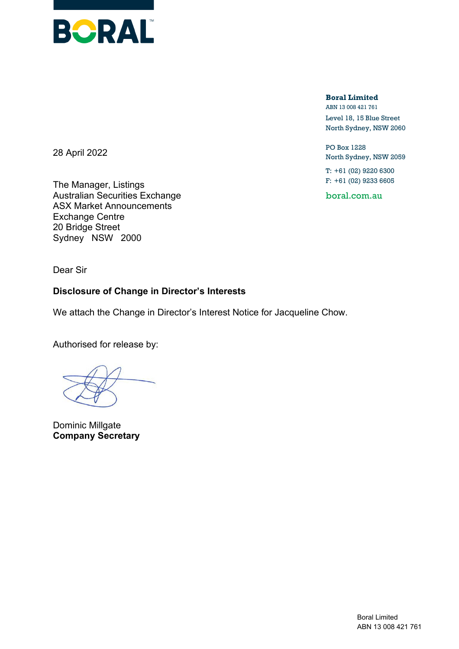

**Boral Limited** ABN 13 008 421 761

Level 18, 15 Blue Street North Sydney, NSW 2060

PO Box 1228 North Sydney, NSW 2059

T: +61 (02) 9220 6300 F: +61 (02) 9233 6605

boral.com.au

28 April 2022

The Manager, Listings Australian Securities Exchange ASX Market Announcements Exchange Centre 20 Bridge Street Sydney NSW 2000

Dear Sir

## **Disclosure of Change in Director's Interests**

We attach the Change in Director's Interest Notice for Jacqueline Chow.

Authorised for release by:

Dominic Millgate **Company Secretary**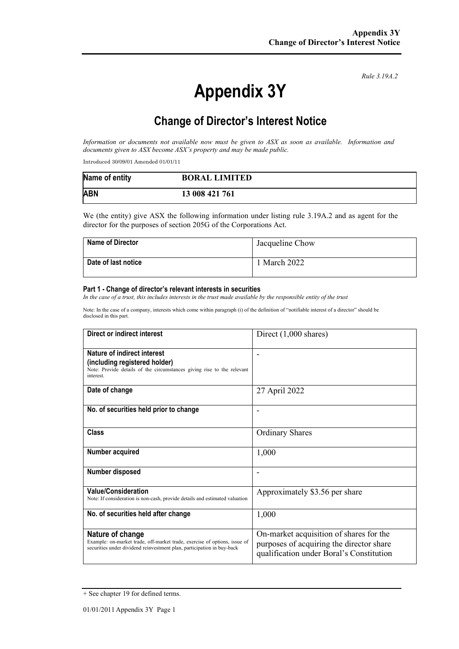### *Rule 3.19A.2*

# **Appendix 3Y**

# **Change of Director's Interest Notice**

*Information or documents not available now must be given to ASX as soon as available. Information and documents given to ASX become ASX's property and may be made public.*

Introduced 30/09/01 Amended 01/01/11

| Name of entity | <b>BORAL LIMITED</b> |
|----------------|----------------------|
| <b>ABN</b>     | 13 008 421 761       |

We (the entity) give ASX the following information under listing rule 3.19A.2 and as agent for the director for the purposes of section 205G of the Corporations Act.

| <b>Name of Director</b> | Jacqueline Chow |
|-------------------------|-----------------|
| Date of last notice     | March 2022      |

#### **Part 1 - Change of director's relevant interests in securities**

*In the case of a trust, this includes interests in the trust made available by the responsible entity of the trust*

Note: In the case of a company, interests which come within paragraph (i) of the definition of "notifiable interest of a director" should be disclosed in this part.

| Direct or indirect interest                                                                                                                                             | Direct (1,000 shares)                                                                                                           |
|-------------------------------------------------------------------------------------------------------------------------------------------------------------------------|---------------------------------------------------------------------------------------------------------------------------------|
| Nature of indirect interest<br>(including registered holder)<br>Note: Provide details of the circumstances giving rise to the relevant<br>interest.                     |                                                                                                                                 |
| Date of change                                                                                                                                                          | 27 April 2022                                                                                                                   |
| No. of securities held prior to change                                                                                                                                  |                                                                                                                                 |
| Class                                                                                                                                                                   | <b>Ordinary Shares</b>                                                                                                          |
| Number acquired                                                                                                                                                         | 1,000                                                                                                                           |
| Number disposed                                                                                                                                                         |                                                                                                                                 |
| <b>Value/Consideration</b><br>Note: If consideration is non-cash, provide details and estimated valuation                                                               | Approximately \$3.56 per share                                                                                                  |
| No. of securities held after change                                                                                                                                     | 1,000                                                                                                                           |
| Nature of change<br>Example: on-market trade, off-market trade, exercise of options, issue of<br>securities under dividend reinvestment plan, participation in buy-back | On-market acquisition of shares for the<br>purposes of acquiring the director share<br>qualification under Boral's Constitution |

<sup>+</sup> See chapter 19 for defined terms.